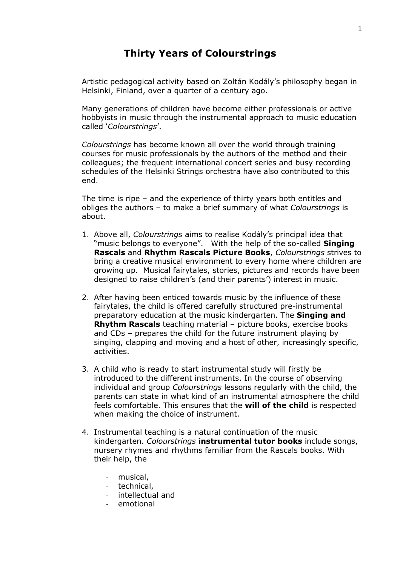## **Thirty Years of Colourstrings**

Artistic pedagogical activity based on Zoltán Kodály's philosophy began in Helsinki, Finland, over a quarter of a century ago.

Many generations of children have become either professionals or active hobbyists in music through the instrumental approach to music education called '*Colourstrings*'.

*Colourstrings* has become known all over the world through training courses for music professionals by the authors of the method and their colleagues; the frequent international concert series and busy recording schedules of the Helsinki Strings orchestra have also contributed to this end.

The time is ripe – and the experience of thirty years both entitles and obliges the authors – to make a brief summary of what *Colourstrings* is about.

- 1. Above all, *Colourstrings* aims to realise Kodály's principal idea that "music belongs to everyone". With the help of the so-called **Singing Rascals** and **Rhythm Rascals Picture Books**, *Colourstrings* strives to bring a creative musical environment to every home where children are growing up. Musical fairytales, stories, pictures and records have been designed to raise children's (and their parents') interest in music.
- 2. After having been enticed towards music by the influence of these fairytales, the child is offered carefully structured pre-instrumental preparatory education at the music kindergarten. The **Singing and Rhythm Rascals** teaching material – picture books, exercise books and CDs – prepares the child for the future instrument playing by singing, clapping and moving and a host of other, increasingly specific, activities.
- 3. A child who is ready to start instrumental study will firstly be introduced to the different instruments. In the course of observing individual and group *Colourstrings* lessons regularly with the child, the parents can state in what kind of an instrumental atmosphere the child feels comfortable. This ensures that the **will of the child** is respected when making the choice of instrument.
- 4. Instrumental teaching is a natural continuation of the music kindergarten. *Colourstrings* **instrumental tutor books** include songs, nursery rhymes and rhythms familiar from the Rascals books. With their help, the
	- musical,
	- technical,
	- intellectual and
	- emotional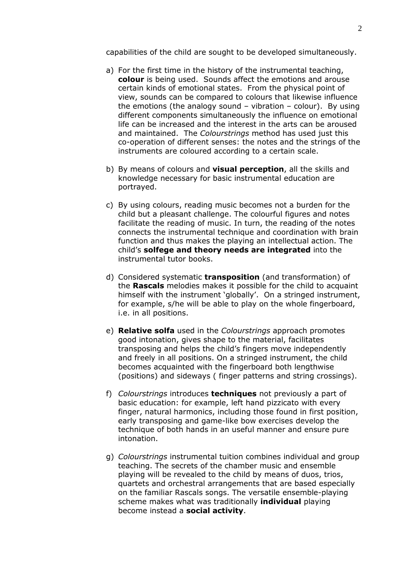capabilities of the child are sought to be developed simultaneously.

- a) For the first time in the history of the instrumental teaching, **colour** is being used. Sounds affect the emotions and arouse certain kinds of emotional states. From the physical point of view, sounds can be compared to colours that likewise influence the emotions (the analogy sound  $-$  vibration  $-$  colour). By using different components simultaneously the influence on emotional life can be increased and the interest in the arts can be aroused and maintained. The *Colourstrings* method has used just this co-operation of different senses: the notes and the strings of the instruments are coloured according to a certain scale.
- b) By means of colours and **visual perception**, all the skills and knowledge necessary for basic instrumental education are portrayed.
- c) By using colours, reading music becomes not a burden for the child but a pleasant challenge. The colourful figures and notes facilitate the reading of music. In turn, the reading of the notes connects the instrumental technique and coordination with brain function and thus makes the playing an intellectual action. The child's **solfege and theory needs are integrated** into the instrumental tutor books.
- d) Considered systematic **transposition** (and transformation) of the **Rascals** melodies makes it possible for the child to acquaint himself with the instrument 'globally'. On a stringed instrument, for example, s/he will be able to play on the whole fingerboard, i.e. in all positions.
- e) **Relative solfa** used in the *Colourstrings* approach promotes good intonation, gives shape to the material, facilitates transposing and helps the child's fingers move independently and freely in all positions. On a stringed instrument, the child becomes acquainted with the fingerboard both lengthwise (positions) and sideways ( finger patterns and string crossings).
- f) *Colourstrings* introduces **techniques** not previously a part of basic education: for example, left hand pizzicato with every finger, natural harmonics, including those found in first position, early transposing and game-like bow exercises develop the technique of both hands in an useful manner and ensure pure intonation.
- g) *Colourstrings* instrumental tuition combines individual and group teaching. The secrets of the chamber music and ensemble playing will be revealed to the child by means of duos, trios, quartets and orchestral arrangements that are based especially on the familiar Rascals songs. The versatile ensemble-playing scheme makes what was traditionally **individual** playing become instead a **social activity**.